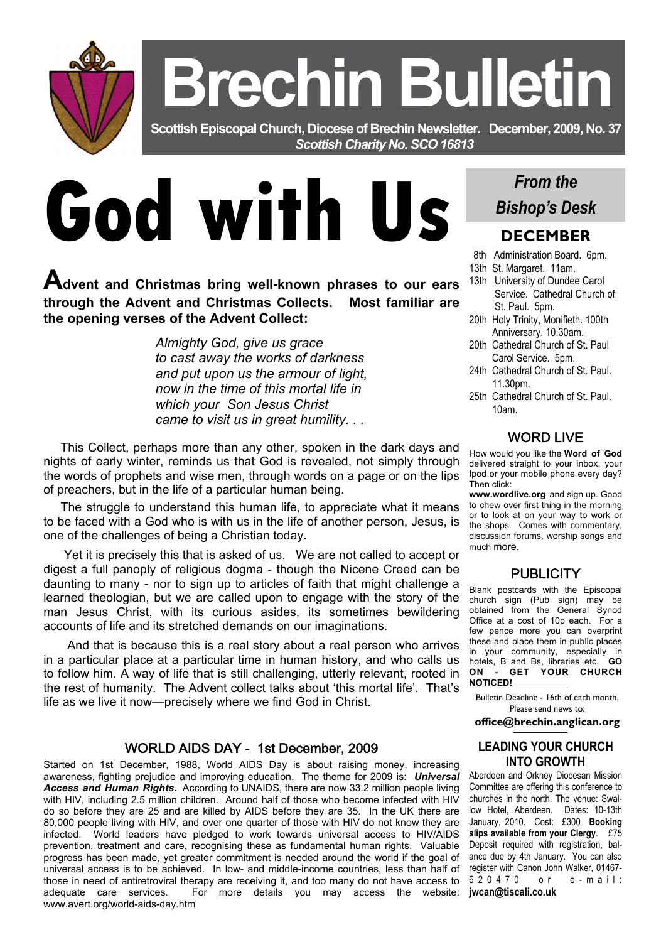**Brechin Bulletin** 

 **Scottish Episcopal Church, Diocese of Brechin Newsletter***.* **December, 2009, No. 37**  *Scottish Charity No. SCO 16813* 

# **God with Us**

**Advent and Christmas bring well-known phrases to our ears through the Advent and Christmas Collects. Most familiar are the opening verses of the Advent Collect:** 

> *Almighty God, give us grace to cast away the works of darkness and put upon us the armour of light, now in the time of this mortal life in which your Son Jesus Christ came to visit us in great humility. . .*

 This Collect, perhaps more than any other, spoken in the dark days and nights of early winter, reminds us that God is revealed, not simply through the words of prophets and wise men, through words on a page or on the lips of preachers, but in the life of a particular human being.

 The struggle to understand this human life, to appreciate what it means to be faced with a God who is with us in the life of another person, Jesus, is one of the challenges of being a Christian today.

 Yet it is precisely this that is asked of us. We are not called to accept or digest a full panoply of religious dogma - though the Nicene Creed can be daunting to many - nor to sign up to articles of faith that might challenge a learned theologian, but we are called upon to engage with the story of the man Jesus Christ, with its curious asides, its sometimes bewildering accounts of life and its stretched demands on our imaginations.

 And that is because this is a real story about a real person who arrives in a particular place at a particular time in human history, and who calls us to follow him. A way of life that is still challenging, utterly relevant, rooted in the rest of humanity. The Advent collect talks about 'this mortal life'. That's life as we live it now—precisely where we find God in Christ.

#### WORLD AIDS DAY - 1st December, 2009

Started on 1st December, 1988, World AIDS Day is about raising money, increasing awareness, fighting prejudice and improving education. The theme for 2009 is: *Universal Access and Human Rights.* According to UNAIDS, there are now 33.2 million people living with HIV, including 2.5 million children. Around half of those who become infected with HIV do so before they are 25 and are killed by AIDS before they are 35. In the UK there are 80,000 people living with HIV, and over one quarter of those with HIV do not know they are infected. World leaders have pledged to work towards universal access to HIV/AIDS prevention, treatment and care, recognising these as fundamental human rights. Valuable progress has been made, yet greater commitment is needed around the world if the goal of universal access is to be achieved. In low- and middle-income countries, less than half of those in need of antiretroviral therapy are receiving it, and too many do not have access to adequate care services. For more details you may access the website: www.avert.org/world-aids-day.htm

# *From the Bishop's Desk*

## **DECEMBER**

- 8th Administration Board. 6pm.
- 13th St. Margaret. 11am.
- 13th University of Dundee Carol Service. Cathedral Church of St. Paul. 5pm.
- 20th Holy Trinity, Monifieth. 100th Anniversary. 10.30am.
- 20th Cathedral Church of St. Paul Carol Service. 5pm.
- 24th Cathedral Church of St. Paul. 11.30pm.
- 25th Cathedral Church of St. Paul. 10am.

#### WORD LIVE

How would you like the **Word of God** delivered straight to your inbox, your Ipod or your mobile phone every day? Then click:

**www.wordlive.org** and sign up. Good to chew over first thing in the morning or to look at on your way to work or the shops. Comes with commentary, discussion forums, worship songs and much more.

#### **PUBLICITY**

Blank postcards with the Episcopal church sign (Pub sign) may be obtained from the General Synod Office at a cost of 10p each. For a few pence more you can overprint these and place them in public places in your community, especially in hotels, B and Bs, libraries etc. **GO ON - GET YOUR CHURCH NOTICED!** 

Bulletin Deadline - 16th of each month. Please send news to:

**office@brechin.anglican.org** 

#### **LEADING YOUR CHURCH INTO GROWTH**

Aberdeen and Orkney Diocesan Mission Committee are offering this conference to churches in the north. The venue: Swallow Hotel, Aberdeen. Dates: 10-13th January, 2010. Cost: £300 **Booking slips available from your Clergy**. £75 Deposit required with registration, balance due by 4th January. You can also register with Canon John Walker, 01467- 620470 or e-mail **: jwcan@tiscali.co.uk**